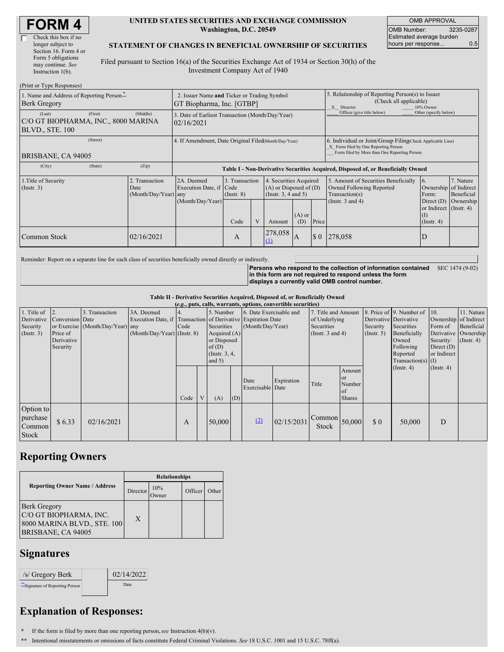| <b>FORM4</b> |
|--------------|
|--------------|

#### **UNITED STATES SECURITIES AND EXCHANGE COMMISSION Washington, D.C. 20549**

OMB APPROVAL OMB Number: 3235-0287 Estimated average burden hours per response... 0.5

### **STATEMENT OF CHANGES IN BENEFICIAL OWNERSHIP OF SECURITIES**

Filed pursuant to Section 16(a) of the Securities Exchange Act of 1934 or Section 30(h) of the Investment Company Act of 1940

| (Print or Type Responses)                                                   |                                                                          |                                                                                  |                                   |  |                                                                                          |           |                                                                                                       |                                                                                                                                                    |                                                                                     |                                      |  |
|-----------------------------------------------------------------------------|--------------------------------------------------------------------------|----------------------------------------------------------------------------------|-----------------------------------|--|------------------------------------------------------------------------------------------|-----------|-------------------------------------------------------------------------------------------------------|----------------------------------------------------------------------------------------------------------------------------------------------------|-------------------------------------------------------------------------------------|--------------------------------------|--|
| 1. Name and Address of Reporting Person-<br><b>Berk Gregory</b>             | 2. Issuer Name and Ticker or Trading Symbol<br>GT Biopharma, Inc. [GTBP] |                                                                                  |                                   |  |                                                                                          |           | 5. Relationship of Reporting Person(s) to Issuer<br>(Check all applicable)<br>10% Owner<br>X Director |                                                                                                                                                    |                                                                                     |                                      |  |
| (First)<br>(Last)<br>C/O GT BIOPHARMA, INC., 8000 MARINA<br>BLVD., STE. 100 | (Middle)                                                                 | 3. Date of Earliest Transaction (Month/Day/Year)<br>02/16/2021                   |                                   |  |                                                                                          |           |                                                                                                       | Officer (give title below)                                                                                                                         | Other (specify below)                                                               |                                      |  |
| (Street)<br>BRISBANE, CA 94005                                              |                                                                          | 4. If Amendment, Date Original Filed(Month/Day/Year)                             |                                   |  |                                                                                          |           |                                                                                                       | 6. Individual or Joint/Group Filing(Check Applicable Line)<br>X Form filed by One Reporting Person<br>Form filed by More than One Reporting Person |                                                                                     |                                      |  |
| (City)<br>(State)                                                           | (Zip)                                                                    | Table I - Non-Derivative Securities Acquired, Disposed of, or Beneficially Owned |                                   |  |                                                                                          |           |                                                                                                       |                                                                                                                                                    |                                                                                     |                                      |  |
| 1. Title of Security<br>$($ Instr. 3 $)$                                    | 2. Transaction<br>Date<br>(Month/Day/Year) any                           | 2A. Deemed<br>Execution Date, if Code<br>(Month/Day/Year)                        | 3. Transaction<br>$($ Instr. $8)$ |  | 4. Securities Acquired<br>$(A)$ or Disposed of $(D)$<br>(Insert. 3, 4 and 5)<br>$(A)$ or |           |                                                                                                       | 5. Amount of Securities Beneficially<br>Owned Following Reported<br>Transaction(s)<br>(Instr. $3$ and $4$ )                                        | 6.<br>Ownership of Indirect<br>Form:<br>Direct (D)<br>or Indirect (Instr. 4)<br>(1) | 7. Nature<br>Beneficial<br>Ownership |  |
| Common Stock                                                                | 02/16/2021                                                               |                                                                                  | Code<br>A                         |  | Amount<br>278,058<br>$\Omega$                                                            | (D)<br>1A | Price<br>$\Omega$                                                                                     | 278,058                                                                                                                                            | $($ Instr. 4 $)$<br>D                                                               |                                      |  |

Reminder: Report on a separate line for each class of securities beneficially owned directly or indirectly.

**Persons who respond to the collection of information contained** SEC 1474 (9-02) **in this form are not required to respond unless the form displays a currently valid OMB control number.**

### **Table II - Derivative Securities Acquired, Disposed of, or Beneficially Owned**

| (e.g., puts, calls, warrants, options, convertible securities)       |                                                       |                                                    |                                           |      |   |                                                                                                |                                                                                                             |                          |                                                                                    |                 |                                                          |                                                                                                                                               |                                                     |                                                                                               |  |
|----------------------------------------------------------------------|-------------------------------------------------------|----------------------------------------------------|-------------------------------------------|------|---|------------------------------------------------------------------------------------------------|-------------------------------------------------------------------------------------------------------------|--------------------------|------------------------------------------------------------------------------------|-----------------|----------------------------------------------------------|-----------------------------------------------------------------------------------------------------------------------------------------------|-----------------------------------------------------|-----------------------------------------------------------------------------------------------|--|
| 1. Title of $\vert$ 2.<br>Derivative<br>Security<br>$($ Instr. 3 $)$ | Conversion Date<br>Price of<br>Derivative<br>Security | 3. Transaction<br>or Exercise (Month/Day/Year) any | 3A. Deemed<br>(Month/Day/Year) (Instr. 8) | Code |   | 5. Number<br>Securities<br>Acquired (A)<br>or Disposed<br>of(D)<br>(Instr. $3, 4,$<br>and $5)$ | 6. Date Exercisable and<br>Execution Date, if Transaction of Derivative Expiration Date<br>(Month/Day/Year) |                          | 7. Title and Amount<br>of Underlying<br><b>Securities</b><br>(Instr. $3$ and $4$ ) |                 | Security<br>$($ Instr. 5 $)$                             | 8. Price of 9. Number of 10.<br>Derivative Derivative<br>Securities<br>Beneficially<br>Owned<br>Following<br>Reported<br>$Transaction(s)$ (I) | Form of<br>Security:<br>Direct $(D)$<br>or Indirect | 11. Nature<br>Ownership of Indirect<br>Beneficial<br>Derivative Ownership<br>$($ Instr. 4 $)$ |  |
|                                                                      |                                                       |                                                    |                                           | Code | V | (A)                                                                                            | (D)                                                                                                         | Date<br>Exercisable Date | Expiration                                                                         | Title           | Amount<br><sub>or</sub><br>Number<br>of<br><b>Shares</b> |                                                                                                                                               | $($ Instr. 4 $)$                                    | (Insert. 4)                                                                                   |  |
| Option to<br>purchase<br>Common<br><b>Stock</b>                      | \$6.33                                                | 02/16/2021                                         |                                           | A    |   | 50,000                                                                                         |                                                                                                             | (2)                      | 02/15/2031                                                                         | Common<br>Stock | 50,000                                                   | $\boldsymbol{\mathsf{S}}$ 0                                                                                                                   | 50,000                                              | D                                                                                             |  |

## **Reporting Owners**

|                                                                                                    | <b>Relationships</b> |                     |         |       |  |  |  |
|----------------------------------------------------------------------------------------------------|----------------------|---------------------|---------|-------|--|--|--|
| <b>Reporting Owner Name / Address</b>                                                              | Director             | 10%<br><b>Twner</b> | Officer | Other |  |  |  |
| <b>Berk Gregory</b><br>C/O GT BIOPHARMA, INC.<br>8000 MARINA BLVD., STE. 100<br>BRISBANE, CA 94005 | X                    |                     |         |       |  |  |  |

### **Signatures**

| /s/ Gregory Berk               | 02/14/2022 |
|--------------------------------|------------|
| "Signature of Reporting Person | Date       |

# **Explanation of Responses:**

**\*** If the form is filed by more than one reporting person,*see* Instruction 4(b)(v).

**\*\*** Intentional misstatements or omissions of facts constitute Federal Criminal Violations. *See* 18 U.S.C. 1001 and 15 U.S.C. 78ff(a).